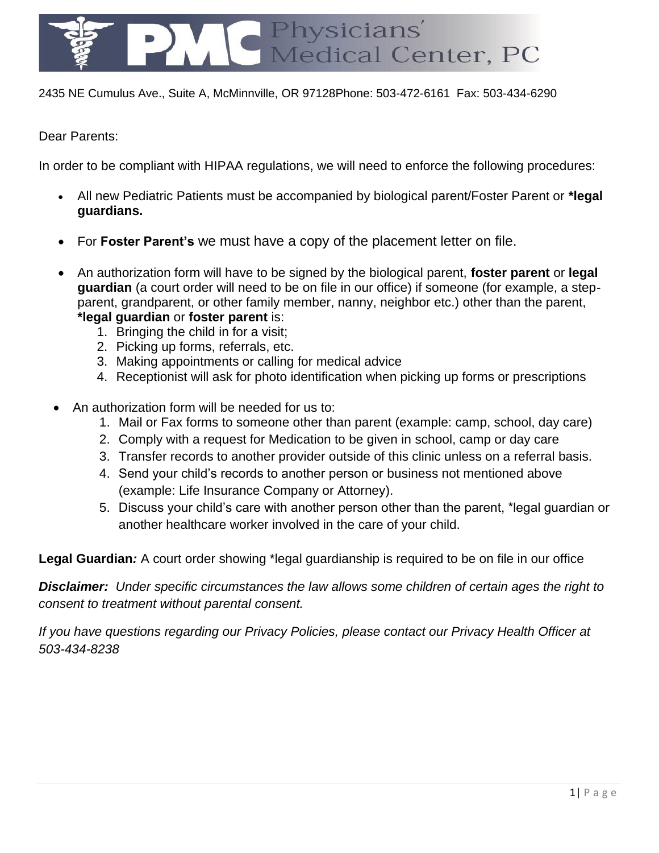

2435 NE Cumulus Ave., Suite A, McMinnville, OR 97128Phone: 503-472-6161 Fax: 503-434-6290

Dear Parents:

In order to be compliant with HIPAA regulations, we will need to enforce the following procedures:

- All new Pediatric Patients must be accompanied by biological parent/Foster Parent or **\*legal guardians.**
- For **Foster Parent's** we must have a copy of the placement letter on file.
- An authorization form will have to be signed by the biological parent, **foster parent** or **legal guardian** (a court order will need to be on file in our office) if someone (for example, a stepparent, grandparent, or other family member, nanny, neighbor etc.) other than the parent, **\*legal guardian** or **foster parent** is:
	- 1. Bringing the child in for a visit;
	- 2. Picking up forms, referrals, etc.
	- 3. Making appointments or calling for medical advice
	- 4. Receptionist will ask for photo identification when picking up forms or prescriptions
- An authorization form will be needed for us to:
	- 1. Mail or Fax forms to someone other than parent (example: camp, school, day care)
	- 2. Comply with a request for Medication to be given in school, camp or day care
	- 3. Transfer records to another provider outside of this clinic unless on a referral basis.
	- 4. Send your child's records to another person or business not mentioned above (example: Life Insurance Company or Attorney).
	- 5. Discuss your child's care with another person other than the parent, \*legal guardian or another healthcare worker involved in the care of your child.

**Legal Guardian***:* A court order showing \*legal guardianship is required to be on file in our office

*Disclaimer: Under specific circumstances the law allows some children of certain ages the right to consent to treatment without parental consent.* 

*If you have questions regarding our Privacy Policies, please contact our Privacy Health Officer at 503-434-8238*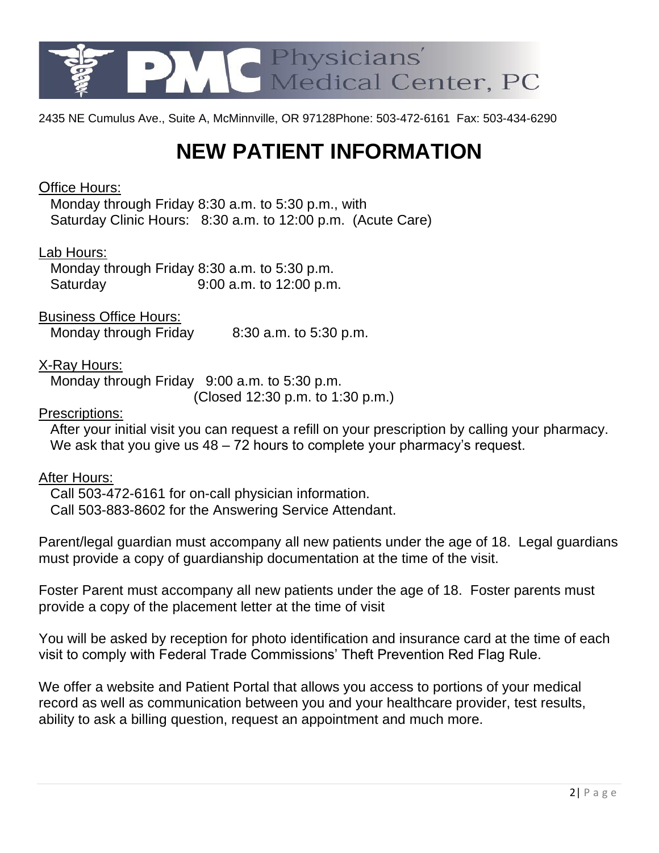

2435 NE Cumulus Ave., Suite A, McMinnville, OR 97128Phone: 503-472-6161 Fax: 503-434-6290

### **NEW PATIENT INFORMATION**

#### Office Hours:

 Monday through Friday 8:30 a.m. to 5:30 p.m., with Saturday Clinic Hours: 8:30 a.m. to 12:00 p.m. (Acute Care)

#### Lab Hours:

 Monday through Friday 8:30 a.m. to 5:30 p.m. Saturday 9:00 a.m. to 12:00 p.m.

Business Office Hours:

Monday through Friday 8:30 a.m. to 5:30 p.m.

#### X-Ray Hours:

 Monday through Friday 9:00 a.m. to 5:30 p.m. (Closed 12:30 p.m. to 1:30 p.m.)

#### Prescriptions:

 After your initial visit you can request a refill on your prescription by calling your pharmacy. We ask that you give us  $48 - 72$  hours to complete your pharmacy's request.

#### After Hours:

 Call 503-472-6161 for on-call physician information. Call 503-883-8602 for the Answering Service Attendant.

Parent/legal guardian must accompany all new patients under the age of 18. Legal guardians must provide a copy of guardianship documentation at the time of the visit.

Foster Parent must accompany all new patients under the age of 18. Foster parents must provide a copy of the placement letter at the time of visit

You will be asked by reception for photo identification and insurance card at the time of each visit to comply with Federal Trade Commissions' Theft Prevention Red Flag Rule.

We offer a website and Patient Portal that allows you access to portions of your medical record as well as communication between you and your healthcare provider, test results, ability to ask a billing question, request an appointment and much more.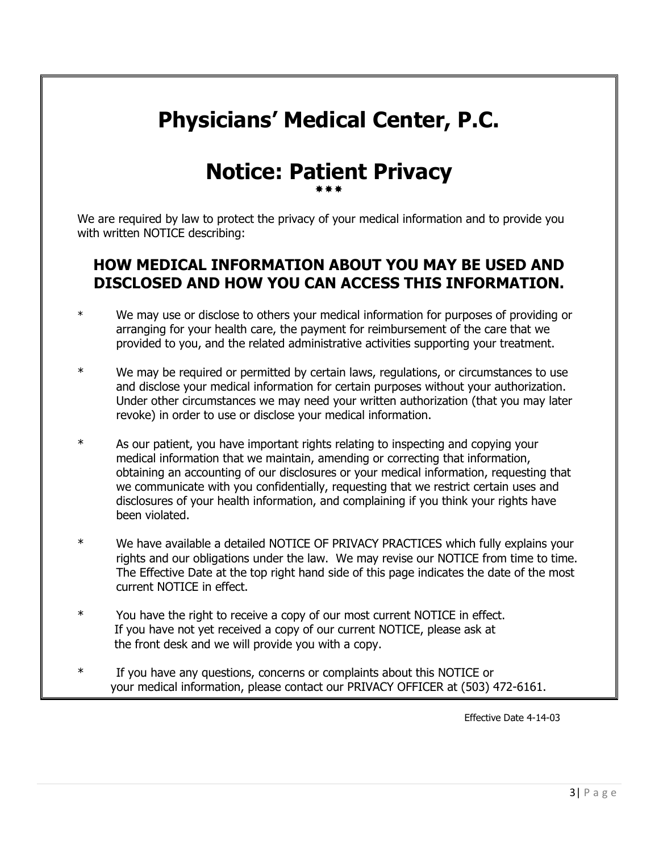# **Physicians' Medical Center, P.C.**

### **Notice: Patient Privacy** \*\*\*

We are required by law to protect the privacy of your medical information and to provide you with written NOTICE describing:

### **HOW MEDICAL INFORMATION ABOUT YOU MAY BE USED AND DISCLOSED AND HOW YOU CAN ACCESS THIS INFORMATION.**

- \* We may use or disclose to others your medical information for purposes of providing or arranging for your health care, the payment for reimbursement of the care that we provided to you, and the related administrative activities supporting your treatment.
- \* We may be required or permitted by certain laws, regulations, or circumstances to use and disclose your medical information for certain purposes without your authorization. Under other circumstances we may need your written authorization (that you may later revoke) in order to use or disclose your medical information.
- \* As our patient, you have important rights relating to inspecting and copying your medical information that we maintain, amending or correcting that information, obtaining an accounting of our disclosures or your medical information, requesting that we communicate with you confidentially, requesting that we restrict certain uses and disclosures of your health information, and complaining if you think your rights have been violated.
- \* We have available a detailed NOTICE OF PRIVACY PRACTICES which fully explains your rights and our obligations under the law. We may revise our NOTICE from time to time. The Effective Date at the top right hand side of this page indicates the date of the most current NOTICE in effect.
- \* You have the right to receive a copy of our most current NOTICE in effect. If you have not yet received a copy of our current NOTICE, please ask at the front desk and we will provide you with a copy.
- \* If you have any questions, concerns or complaints about this NOTICE or your medical information, please contact our PRIVACY OFFICER at (503) 472-6161.

Effective Date 4-14-03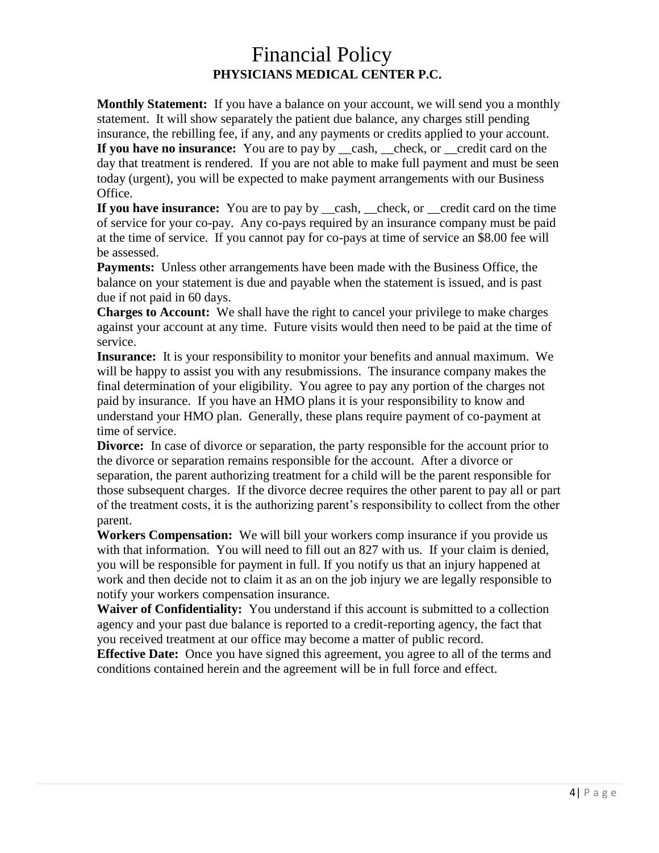### Financial Policy **PHYSICIANS MEDICAL CENTER P.C.**

**Monthly Statement:** If you have a balance on your account, we will send you a monthly statement. It will show separately the patient due balance, any charges still pending insurance, the rebilling fee, if any, and any payments or credits applied to your account. **If you have no insurance:** You are to pay by cash, check, or credit card on the day that treatment is rendered. If you are not able to make full payment and must be seen

today (urgent), you will be expected to make payment arrangements with our Business Office.

**If you have insurance:** You are to pay by <u>eash, check</u>, or general card on the time of service for your co-pay. Any co-pays required by an insurance company must be paid at the time of service. If you cannot pay for co-pays at time of service an \$8.00 fee will be assessed.

**Payments:** Unless other arrangements have been made with the Business Office, the balance on your statement is due and payable when the statement is issued, and is past due if not paid in 60 days.

**Charges to Account:** We shall have the right to cancel your privilege to make charges against your account at any time. Future visits would then need to be paid at the time of service.

**Insurance:** It is your responsibility to monitor your benefits and annual maximum. We will be happy to assist you with any resubmissions. The insurance company makes the final determination of your eligibility. You agree to pay any portion of the charges not paid by insurance. If you have an HMO plans it is your responsibility to know and understand your HMO plan. Generally, these plans require payment of co-payment at time of service.

**Divorce:** In case of divorce or separation, the party responsible for the account prior to the divorce or separation remains responsible for the account. After a divorce or separation, the parent authorizing treatment for a child will be the parent responsible for those subsequent charges. If the divorce decree requires the other parent to pay all or part of the treatment costs, it is the authorizing parent's responsibility to collect from the other parent.

**Workers Compensation:** We will bill your workers comp insurance if you provide us with that information. You will need to fill out an 827 with us. If your claim is denied, you will be responsible for payment in full. If you notify us that an injury happened at work and then decide not to claim it as an on the job injury we are legally responsible to notify your workers compensation insurance.

**Waiver of Confidentiality:** You understand if this account is submitted to a collection agency and your past due balance is reported to a credit-reporting agency, the fact that you received treatment at our office may become a matter of public record.

**Effective Date:** Once you have signed this agreement, you agree to all of the terms and conditions contained herein and the agreement will be in full force and effect.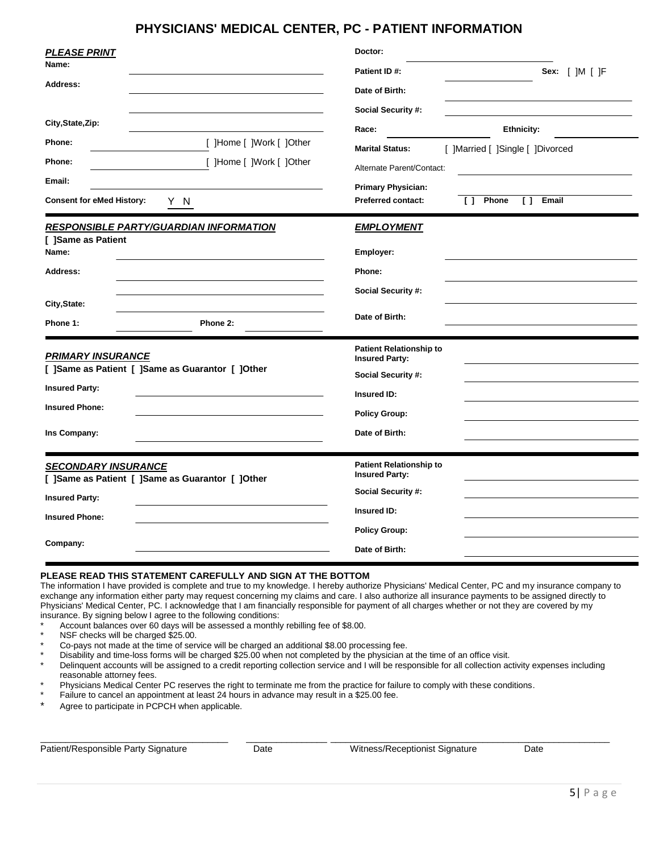#### **PHYSICIANS' MEDICAL CENTER, PC - PATIENT INFORMATION**

| <b>PLEASE PRINT</b><br>Name:<br>Address:<br>City, State, Zip:                                                                                  | Doctor:<br>Patient ID#:<br>Sex: [ ]M [ ]F<br>Date of Birth:<br>Social Security #:                                                                                                                               |
|------------------------------------------------------------------------------------------------------------------------------------------------|-----------------------------------------------------------------------------------------------------------------------------------------------------------------------------------------------------------------|
| [ ]Home [ ]Work [ ]Other<br>Phone:<br>Phone:<br>[ ]Home [ ]Work [ ]Other<br>Email:<br><b>Consent for eMed History:</b><br>YN                   | Race:<br><b>Ethnicity:</b><br><b>Marital Status:</b><br>[ ]Married [ ]Single [ ]Divorced<br>Alternate Parent/Contact:<br><b>Primary Physician:</b><br><b>Preferred contact:</b><br>[ ] Phone<br>$\Box$<br>Email |
| <b>RESPONSIBLE PARTY/GUARDIAN INFORMATION</b><br>[ ]Same as Patient<br>Name:<br>Address:<br>City, State:<br>Phone 1:<br>Phone 2:               | <b>EMPLOYMENT</b><br>Employer:<br>Phone:<br>Social Security #:<br>Date of Birth:                                                                                                                                |
| <b>PRIMARY INSURANCE</b><br>[ ]Same as Patient [ ]Same as Guarantor [ ]Other<br><b>Insured Party:</b><br><b>Insured Phone:</b><br>Ins Company: | <b>Patient Relationship to</b><br><b>Insured Party:</b><br>Social Security #:<br>Insured ID:<br><b>Policy Group:</b><br>Date of Birth:                                                                          |
| <b>SECONDARY INSURANCE</b><br>[ ]Same as Patient [ ]Same as Guarantor [ ]Other<br><b>Insured Party:</b><br><b>Insured Phone:</b><br>Company:   | <b>Patient Relationship to</b><br><b>Insured Party:</b><br>Social Security #:<br>Insured ID:<br><b>Policy Group:</b><br>Date of Birth:                                                                          |

#### **PLEASE READ THIS STATEMENT CAREFULLY AND SIGN AT THE BOTTOM**

The information I have provided is complete and true to my knowledge. I hereby authorize Physicians' Medical Center, PC and my insurance company to exchange any information either party may request concerning my claims and care. I also authorize all insurance payments to be assigned directly to Physicians' Medical Center, PC. I acknowledge that I am financially responsible for payment of all charges whether or not they are covered by my insurance. By signing below I agree to the following conditions:

- Account balances over 60 days will be assessed a monthly rebilling fee of \$8.00.
- NSF checks will be charged \$25.00.
- Co-pays not made at the time of service will be charged an additional \$8.00 processing fee.

Disability and time-loss forms will be charged \$25.00 when not completed by the physician at the time of an office visit.

- Delinquent accounts will be assigned to a credit reporting collection service and I will be responsible for all collection activity expenses including reasonable attorney fees.
- Physicians Medical Center PC reserves the right to terminate me from the practice for failure to comply with these conditions.
- Failure to cancel an appointment at least 24 hours in advance may result in a \$25.00 fee.
- Agree to participate in PCPCH when applicable.

 $\_$  , and the set of the set of the set of the set of the set of the set of the set of the set of the set of the set of the set of the set of the set of the set of the set of the set of the set of the set of the set of th Patient/Responsible Party Signature Date Witness/Receptionist Signature Date

| I<br>×<br>٠<br>۹ | ۰,<br>×<br>× |
|------------------|--------------|
|                  |              |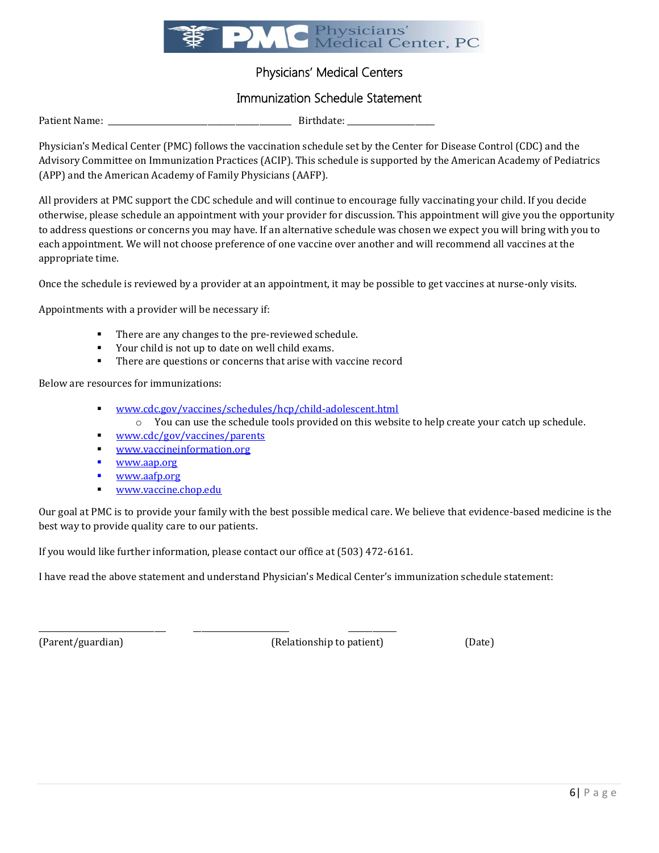

#### Physicians' Medical Centers

#### Immunization Schedule Statement

Patient Name: \_\_\_\_\_\_\_\_\_\_\_\_\_\_\_\_\_\_\_\_\_\_\_\_\_\_\_\_\_\_\_\_\_\_\_\_\_\_\_\_\_\_\_\_\_\_ Birthdate: \_\_\_\_\_\_\_\_\_\_\_\_\_\_\_\_\_\_\_\_\_\_

Physician's Medical Center (PMC) follows the vaccination schedule set by the Center for Disease Control (CDC) and the Advisory Committee on Immunization Practices (ACIP). This schedule is supported by the American Academy of Pediatrics (APP) and the American Academy of Family Physicians (AAFP).

All providers at PMC support the CDC schedule and will continue to encourage fully vaccinating your child. If you decide otherwise, please schedule an appointment with your provider for discussion. This appointment will give you the opportunity to address questions or concerns you may have. If an alternative schedule was chosen we expect you will bring with you to each appointment. We will not choose preference of one vaccine over another and will recommend all vaccines at the appropriate time.

Once the schedule is reviewed by a provider at an appointment, it may be possible to get vaccines at nurse-only visits.

Appointments with a provider will be necessary if:

- There are any changes to the pre-reviewed schedule.
- Your child is not up to date on well child exams.
- There are questions or concerns that arise with vaccine record

Below are resources for immunizations:

- [www.cdc.gov/vaccines/schedules/hcp/child-adolescent.html](http://www.cdc.gov/vaccines/schedules/hcp/child-adolescent.html)
	- o You can use the schedule tools provided on this website to help create your catch up schedule.
- [www.cdc/gov/vaccines/parents](http://www.cdc/gov/vaccines/parents)
- [www.vaccineinformation.org](http://www.vaccineinformation.org/)
- [www.aap.org](http://www.aap.org/)
- [www.aafp.org](http://www.aafp.org/)
- [www.vaccine.chop.edu](http://www.vaccine.chop.edu/)

Our goal at PMC is to provide your family with the best possible medical care. We believe that evidence-based medicine is the best way to provide quality care to our patients.

If you would like further information, please contact our office at (503) 472-6161.

\_\_\_\_\_\_\_\_\_\_\_\_\_\_\_\_\_\_\_\_\_\_\_\_\_\_\_\_\_\_\_\_ \_\_\_\_\_\_\_\_\_\_\_\_\_\_\_\_\_\_\_\_\_\_\_\_ \_\_\_\_\_\_\_\_\_\_\_\_

I have read the above statement and understand Physician's Medical Center's immunization schedule statement:

(Parent/guardian) (Relationship to patient) (Date)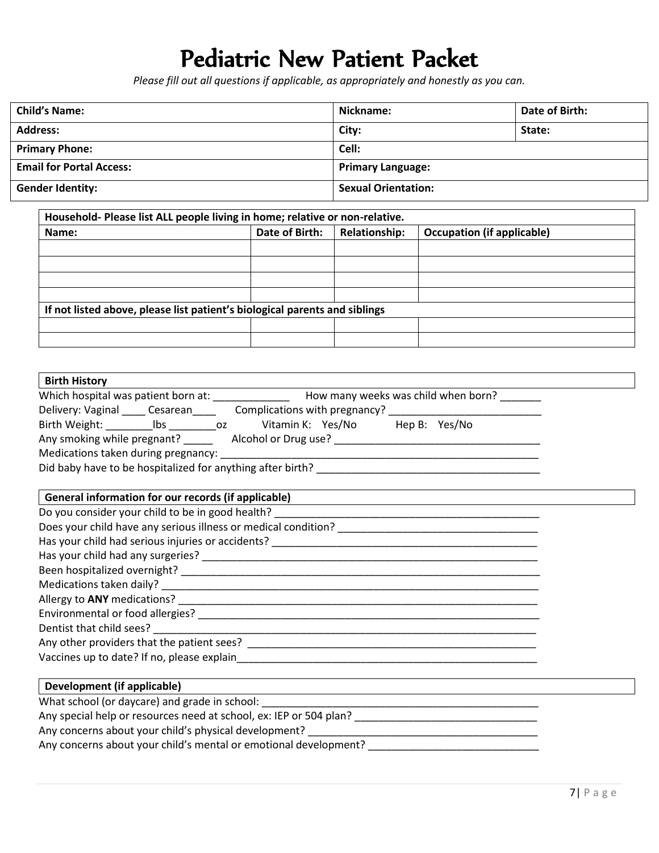# Pediatric New Patient Packet

*Please fill out all questions if applicable, as appropriately and honestly as you can.*

| <b>Child's Name:</b>            | Nickname:                  | Date of Birth: |
|---------------------------------|----------------------------|----------------|
| <b>Address:</b>                 | City:                      | State:         |
| <b>Primary Phone:</b>           | Cell:                      |                |
| <b>Email for Portal Access:</b> | <b>Primary Language:</b>   |                |
| <b>Gender Identity:</b>         | <b>Sexual Orientation:</b> |                |

| Household- Please list ALL people living in home; relative or non-relative. |                |                      |                                   |
|-----------------------------------------------------------------------------|----------------|----------------------|-----------------------------------|
| Name:                                                                       | Date of Birth: | <b>Relationship:</b> | <b>Occupation (if applicable)</b> |
|                                                                             |                |                      |                                   |
|                                                                             |                |                      |                                   |
|                                                                             |                |                      |                                   |
|                                                                             |                |                      |                                   |
| If not listed above, please list patient's biological parents and siblings  |                |                      |                                   |
|                                                                             |                |                      |                                   |
|                                                                             |                |                      |                                   |

| <b>Birth History</b>                                                                                                                            |
|-------------------------------------------------------------------------------------------------------------------------------------------------|
| Which hospital was patient born at: ___________________ How many weeks was child when born? _______                                             |
| Delivery: Vaginal ______ Cesarean_________ Complications with pregnancy? __________________________                                             |
|                                                                                                                                                 |
|                                                                                                                                                 |
|                                                                                                                                                 |
|                                                                                                                                                 |
|                                                                                                                                                 |
| General information for our records (if applicable)<br>General information for our records (if applicable)                                      |
|                                                                                                                                                 |
|                                                                                                                                                 |
|                                                                                                                                                 |
|                                                                                                                                                 |
|                                                                                                                                                 |
|                                                                                                                                                 |
|                                                                                                                                                 |
|                                                                                                                                                 |
|                                                                                                                                                 |
|                                                                                                                                                 |
|                                                                                                                                                 |
|                                                                                                                                                 |
| Development (if applicable)<br>and the control of the control of the control of the control of the control of the control of the control of the |
|                                                                                                                                                 |
| Any special help or resources need at school, ex: IEP or 504 plan? _________________________________                                            |
|                                                                                                                                                 |
| Any concerns about your child's mental or emotional development?                                                                                |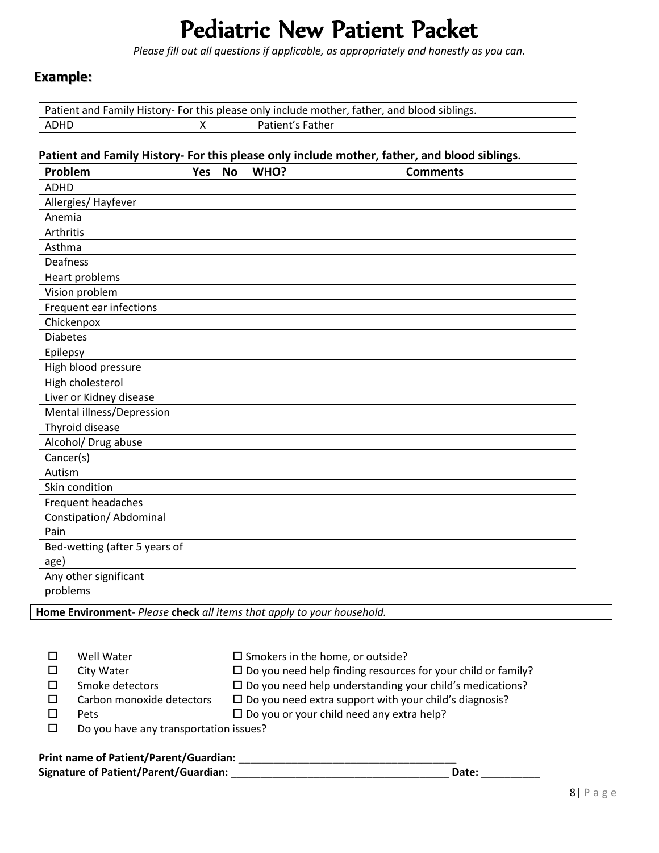## Pediatric New Patient Packet

*Please fill out all questions if applicable, as appropriately and honestly as you can.*

#### **Example:**

|      |  | Patient and Family History- For this please only include mother, father, and blood siblings. |  |
|------|--|----------------------------------------------------------------------------------------------|--|
| ADHD |  | <b>Patient's Father</b>                                                                      |  |

#### **Patient and Family History- For this please only include mother, father, and blood siblings.**

| Problem                       | <b>Yes</b> | <b>No</b> | WHO? | <b>Comments</b> |
|-------------------------------|------------|-----------|------|-----------------|
| <b>ADHD</b>                   |            |           |      |                 |
| Allergies/ Hayfever           |            |           |      |                 |
| Anemia                        |            |           |      |                 |
| Arthritis                     |            |           |      |                 |
| Asthma                        |            |           |      |                 |
| Deafness                      |            |           |      |                 |
| Heart problems                |            |           |      |                 |
| Vision problem                |            |           |      |                 |
| Frequent ear infections       |            |           |      |                 |
| Chickenpox                    |            |           |      |                 |
| <b>Diabetes</b>               |            |           |      |                 |
| Epilepsy                      |            |           |      |                 |
| High blood pressure           |            |           |      |                 |
| High cholesterol              |            |           |      |                 |
| Liver or Kidney disease       |            |           |      |                 |
| Mental illness/Depression     |            |           |      |                 |
| Thyroid disease               |            |           |      |                 |
| Alcohol/ Drug abuse           |            |           |      |                 |
| Cancer(s)                     |            |           |      |                 |
| Autism                        |            |           |      |                 |
| Skin condition                |            |           |      |                 |
| Frequent headaches            |            |           |      |                 |
| Constipation/ Abdominal       |            |           |      |                 |
| Pain                          |            |           |      |                 |
| Bed-wetting (after 5 years of |            |           |      |                 |
| age)                          |            |           |      |                 |
| Any other significant         |            |           |      |                 |
| problems                      |            |           |      |                 |

**Home Environment**- *Please* **check** *all items that apply to your household.* 

| Well Water                             | $\square$ Smokers in the home, or outside?                             |
|----------------------------------------|------------------------------------------------------------------------|
| City Water                             | $\square$ Do you need help finding resources for your child or family? |
| Smoke detectors                        | $\Box$ Do you need help understanding your child's medications?        |
| Carbon monoxide detectors              | $\Box$ Do you need extra support with your child's diagnosis?          |
| <b>Pets</b>                            | $\Box$ Do you or your child need any extra help?                       |
| Do you have any transportation issues? |                                                                        |

# **Print name of Patient/Parent/Guardian: \_\_\_\_\_\_\_\_\_\_\_\_\_\_\_\_\_\_\_\_\_\_\_\_\_\_\_\_\_\_\_\_\_\_\_\_\_**

**Signature of Patient/Parent/Guardian:** \_\_\_\_\_\_\_\_\_\_\_\_\_\_\_\_\_\_\_\_\_\_\_\_\_\_\_\_\_\_\_\_\_\_\_\_\_ **Date:** \_\_\_\_\_\_\_\_\_\_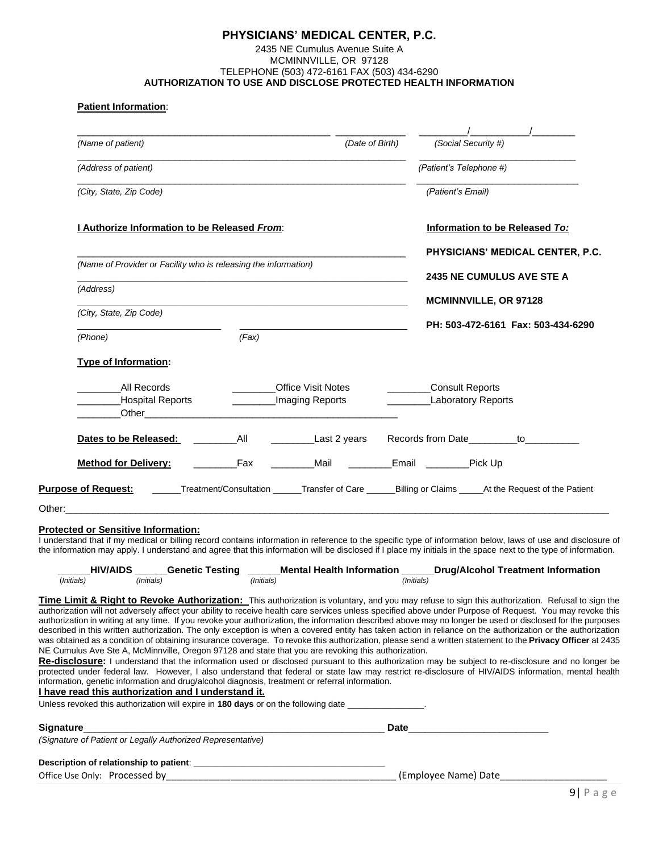#### **PHYSICIANS' MEDICAL CENTER, P.C.** 2435 NE Cumulus Avenue Suite A MCMINNVILLE, OR 97128 TELEPHONE (503) 472-6161 FAX (503) 434-6290 **AUTHORIZATION TO USE AND DISCLOSE PROTECTED HEALTH INFORMATION**

#### **Patient Information**:

| (Name of patient)                                               | (Date of Birth)                                                                           | (Social Security #)                                                                                                                                                                                                                                                                                                            |
|-----------------------------------------------------------------|-------------------------------------------------------------------------------------------|--------------------------------------------------------------------------------------------------------------------------------------------------------------------------------------------------------------------------------------------------------------------------------------------------------------------------------|
| (Address of patient)                                            |                                                                                           | (Patient's Telephone #)                                                                                                                                                                                                                                                                                                        |
| (City, State, Zip Code)                                         | the control of the control of the control of the control of the control of the control of | (Patient's Email)                                                                                                                                                                                                                                                                                                              |
| I Authorize Information to be Released From:                    |                                                                                           | Information to be Released To:                                                                                                                                                                                                                                                                                                 |
|                                                                 |                                                                                           | PHYSICIANS' MEDICAL CENTER, P.C.                                                                                                                                                                                                                                                                                               |
| (Name of Provider or Facility who is releasing the information) |                                                                                           | <b>2435 NE CUMULUS AVE STE A</b>                                                                                                                                                                                                                                                                                               |
| (Address)                                                       |                                                                                           |                                                                                                                                                                                                                                                                                                                                |
| (City, State, Zip Code)                                         | the control of the control of the control of the control of the control of the control of | <b>MCMINNVILLE, OR 97128</b>                                                                                                                                                                                                                                                                                                   |
| (Phone)                                                         | the control of the control of the control of the control of the control of<br>(Fax)       | PH: 503-472-6161 Fax: 503-434-6290                                                                                                                                                                                                                                                                                             |
| <b>Type of Information:</b>                                     |                                                                                           |                                                                                                                                                                                                                                                                                                                                |
| All Records                                                     | <b>Office Visit Notes</b>                                                                 | ____________Consult Reports                                                                                                                                                                                                                                                                                                    |
| Hospital Reports                                                | _________Imaging Reports                                                                  | <b>Laboratory Reports</b>                                                                                                                                                                                                                                                                                                      |
|                                                                 |                                                                                           | Last 2 years Records from Date ________ to _________                                                                                                                                                                                                                                                                           |
| <b>Method for Delivery:</b>                                     | _________Mail __________Email _________Pick Up<br><b>Eax</b>                              |                                                                                                                                                                                                                                                                                                                                |
|                                                                 |                                                                                           | Purpose of Request: ______Treatment/Consultation _____Transfer of Care ______Billing or Claims _____At the Request of the Patient                                                                                                                                                                                              |
|                                                                 |                                                                                           |                                                                                                                                                                                                                                                                                                                                |
| <b>Protected or Sensitive Information:</b>                      |                                                                                           | I understand that if my medical or billing record contains information in reference to the specific type of information below, laws of use and disclosure of<br>the information may apply. I understand and agree that this information will be disclosed if I place my initials in the space next to the type of information. |
|                                                                 |                                                                                           | _HIV/AIDS _______Genetic Testing _______Mental Health Information ______Drug/Alcohol Treatment Information                                                                                                                                                                                                                     |

**Time Limit & Right to Revoke Authorization:** This authorization is voluntary, and you may refuse to sign this authorization. Refusal to sign the authorization will not adversely affect your ability to receive health care services unless specified above under Purpose of Request. You may revoke this authorization in writing at any time. If you revoke your authorization, the information described above may no longer be used or disclosed for the purposes described in this written authorization. The only exception is when a covered entity has taken action in reliance on the authorization or the authorization was obtained as a condition of obtaining insurance coverage. To revoke this authorization, please send a written statement to the **Privacy Officer** at 2435 NE Cumulus Ave Ste A, McMinnville, Oregon 97128 and state that you are revoking this authorization.

**Re-disclosure:** I understand that the information used or disclosed pursuant to this authorization may be subject to re-disclosure and no longer be protected under federal law. However, I also understand that federal or state law may restrict re-disclosure of HIV/AIDS information, mental health information, genetic information and drug/alcohol diagnosis, treatment or referral information.

#### **I have read this authorization and I understand it.**

Unless revoked this authorization will expire in **180 days** or on the following date \_\_\_\_\_\_\_\_\_\_\_\_\_\_\_\_.

| <b>Signature</b>                                            | <b>Date</b> |
|-------------------------------------------------------------|-------------|
| (Signature of Patient or Legally Authorized Representative) |             |
| Description of relationship to patient:                     |             |
|                                                             |             |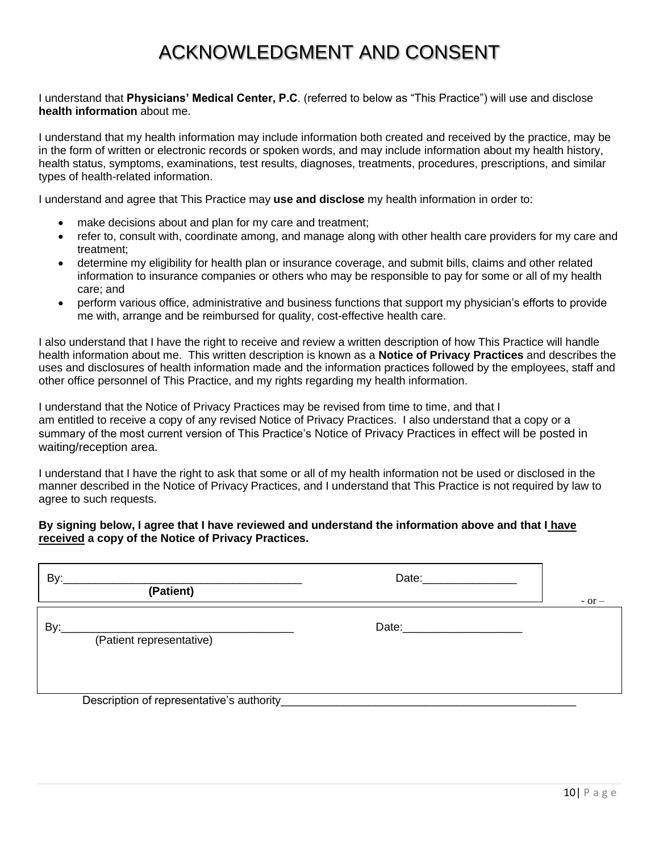### ACKNOWLEDGMENT AND CONSENT

I understand that **Physicians' Medical Center, P.C**. (referred to below as "This Practice") will use and disclose **health information** about me.

I understand that my health information may include information both created and received by the practice, may be in the form of written or electronic records or spoken words, and may include information about my health history, health status, symptoms, examinations, test results, diagnoses, treatments, procedures, prescriptions, and similar types of health-related information.

I understand and agree that This Practice may **use and disclose** my health information in order to:

- make decisions about and plan for my care and treatment;
- refer to, consult with, coordinate among, and manage along with other health care providers for my care and treatment;
- determine my eligibility for health plan or insurance coverage, and submit bills, claims and other related information to insurance companies or others who may be responsible to pay for some or all of my health care; and
- perform various office, administrative and business functions that support my physician's efforts to provide me with, arrange and be reimbursed for quality, cost-effective health care.

I also understand that I have the right to receive and review a written description of how This Practice will handle health information about me. This written description is known as a **Notice of Privacy Practices** and describes the uses and disclosures of health information made and the information practices followed by the employees, staff and other office personnel of This Practice, and my rights regarding my health information.

I understand that the Notice of Privacy Practices may be revised from time to time, and that I am entitled to receive a copy of any revised Notice of Privacy Practices. I also understand that a copy or a summary of the most current version of This Practice's Notice of Privacy Practices in effect will be posted in waiting/reception area.

I understand that I have the right to ask that some or all of my health information not be used or disclosed in the manner described in the Notice of Privacy Practices, and I understand that This Practice is not required by law to agree to such requests.

#### **By signing below, I agree that I have reviewed and understand the information above and that I have received a copy of the Notice of Privacy Practices.**

| By:<br>(Patient)                           | Date: and the state of the state of the state of the state of the state of the state of the state of the state of the state of the state of the state of the state of the state of the state of the state of the state of the  | $-$ or $-$ |
|--------------------------------------------|--------------------------------------------------------------------------------------------------------------------------------------------------------------------------------------------------------------------------------|------------|
| By:<br>(Patient representative)            | Date: the contract of the contract of the contract of the contract of the contract of the contract of the contract of the contract of the contract of the contract of the contract of the contract of the contract of the cont |            |
| Description of representative's authority_ |                                                                                                                                                                                                                                |            |